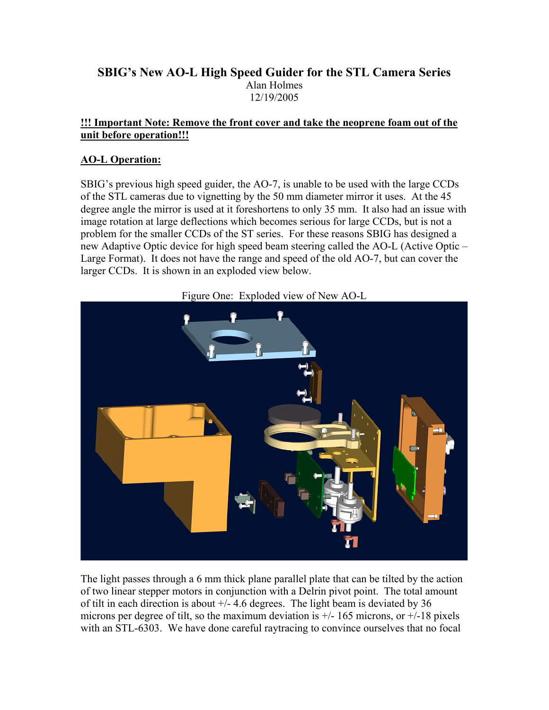# **SBIG's New AO-L High Speed Guider for the STL Camera Series**  Alan Holmes 12/19/2005

### **!!! Important Note: Remove the front cover and take the neoprene foam out of the unit before operation!!!**

## **AO-L Operation:**

SBIG's previous high speed guider, the AO-7, is unable to be used with the large CCDs of the STL cameras due to vignetting by the 50 mm diameter mirror it uses. At the 45 degree angle the mirror is used at it foreshortens to only 35 mm. It also had an issue with image rotation at large deflections which becomes serious for large CCDs, but is not a problem for the smaller CCDs of the ST series. For these reasons SBIG has designed a new Adaptive Optic device for high speed beam steering called the AO-L (Active Optic – Large Format). It does not have the range and speed of the old AO-7, but can cover the larger CCDs. It is shown in an exploded view below.

Figure One: Exploded view of New AO-L



The light passes through a 6 mm thick plane parallel plate that can be tilted by the action of two linear stepper motors in conjunction with a Delrin pivot point. The total amount of tilt in each direction is about +/- 4.6 degrees. The light beam is deviated by 36 microns per degree of tilt, so the maximum deviation is  $\pm$ /- 165 microns, or  $\pm$ /-18 pixels with an STL-6303. We have done careful raytracing to convince ourselves that no focal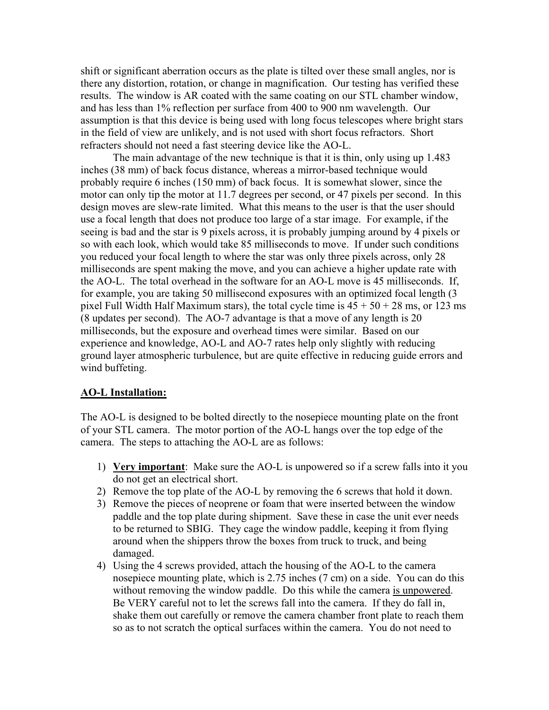shift or significant aberration occurs as the plate is tilted over these small angles, nor is there any distortion, rotation, or change in magnification. Our testing has verified these results. The window is AR coated with the same coating on our STL chamber window, and has less than 1% reflection per surface from 400 to 900 nm wavelength. Our assumption is that this device is being used with long focus telescopes where bright stars in the field of view are unlikely, and is not used with short focus refractors. Short refracters should not need a fast steering device like the AO-L.

 The main advantage of the new technique is that it is thin, only using up 1.483 inches (38 mm) of back focus distance, whereas a mirror-based technique would probably require 6 inches (150 mm) of back focus. It is somewhat slower, since the motor can only tip the motor at 11.7 degrees per second, or 47 pixels per second. In this design moves are slew-rate limited. What this means to the user is that the user should use a focal length that does not produce too large of a star image. For example, if the seeing is bad and the star is 9 pixels across, it is probably jumping around by 4 pixels or so with each look, which would take 85 milliseconds to move. If under such conditions you reduced your focal length to where the star was only three pixels across, only 28 milliseconds are spent making the move, and you can achieve a higher update rate with the AO-L. The total overhead in the software for an AO-L move is 45 milliseconds. If, for example, you are taking 50 millisecond exposures with an optimized focal length (3 pixel Full Width Half Maximum stars), the total cycle time is  $45 + 50 + 28$  ms, or 123 ms (8 updates per second). The AO-7 advantage is that a move of any length is 20 milliseconds, but the exposure and overhead times were similar. Based on our experience and knowledge, AO-L and AO-7 rates help only slightly with reducing ground layer atmospheric turbulence, but are quite effective in reducing guide errors and wind buffeting.

#### **AO-L Installation:**

The AO-L is designed to be bolted directly to the nosepiece mounting plate on the front of your STL camera. The motor portion of the AO-L hangs over the top edge of the camera. The steps to attaching the AO-L are as follows:

- 1) **Very important**: Make sure the AO-L is unpowered so if a screw falls into it you do not get an electrical short.
- 2) Remove the top plate of the AO-L by removing the 6 screws that hold it down.
- 3) Remove the pieces of neoprene or foam that were inserted between the window paddle and the top plate during shipment. Save these in case the unit ever needs to be returned to SBIG. They cage the window paddle, keeping it from flying around when the shippers throw the boxes from truck to truck, and being damaged.
- 4) Using the 4 screws provided, attach the housing of the AO-L to the camera nosepiece mounting plate, which is 2.75 inches (7 cm) on a side. You can do this without removing the window paddle. Do this while the camera is unpowered. Be VERY careful not to let the screws fall into the camera. If they do fall in, shake them out carefully or remove the camera chamber front plate to reach them so as to not scratch the optical surfaces within the camera. You do not need to